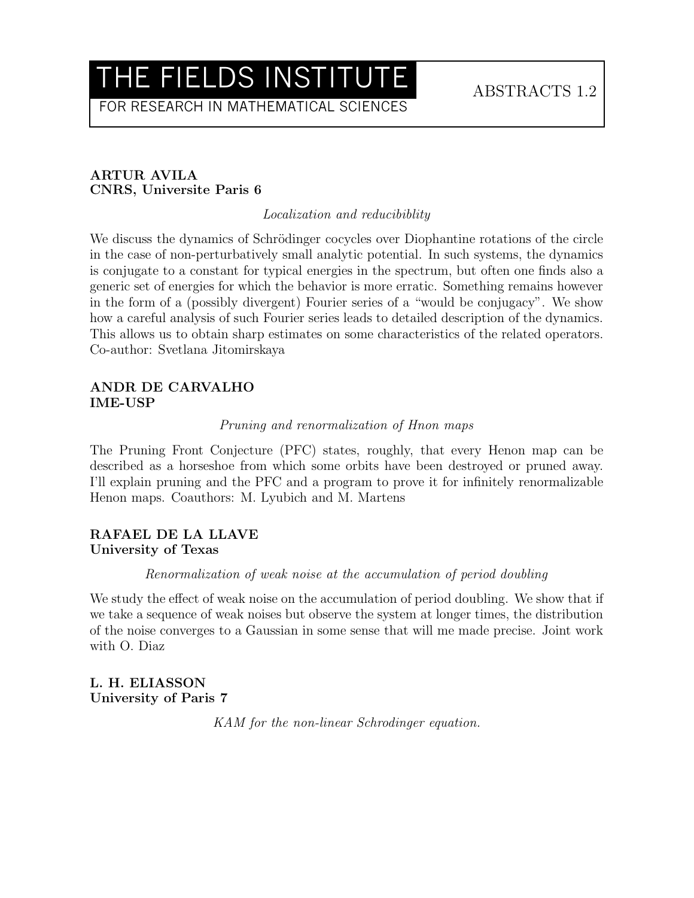FOR RESEARCH IN MATHEMATICAL SCIENCES

## ARTUR AVILA CNRS, Universite Paris 6

### Localization and reducibiblity

We discuss the dynamics of Schrödinger cocycles over Diophantine rotations of the circle in the case of non-perturbatively small analytic potential. In such systems, the dynamics is conjugate to a constant for typical energies in the spectrum, but often one finds also a generic set of energies for which the behavior is more erratic. Something remains however in the form of a (possibly divergent) Fourier series of a "would be conjugacy". We show how a careful analysis of such Fourier series leads to detailed description of the dynamics. This allows us to obtain sharp estimates on some characteristics of the related operators. Co-author: Svetlana Jitomirskaya

### ANDR DE CARVALHO IME-USP

### Pruning and renormalization of Hnon maps

The Pruning Front Conjecture (PFC) states, roughly, that every Henon map can be described as a horseshoe from which some orbits have been destroyed or pruned away. I'll explain pruning and the PFC and a program to prove it for infinitely renormalizable Henon maps. Coauthors: M. Lyubich and M. Martens

#### RAFAEL DE LA LLAVE University of Texas

Renormalization of weak noise at the accumulation of period doubling

We study the effect of weak noise on the accumulation of period doubling. We show that if we take a sequence of weak noises but observe the system at longer times, the distribution of the noise converges to a Gaussian in some sense that will me made precise. Joint work with O. Diaz

L. H. ELIASSON University of Paris 7

KAM for the non-linear Schrodinger equation.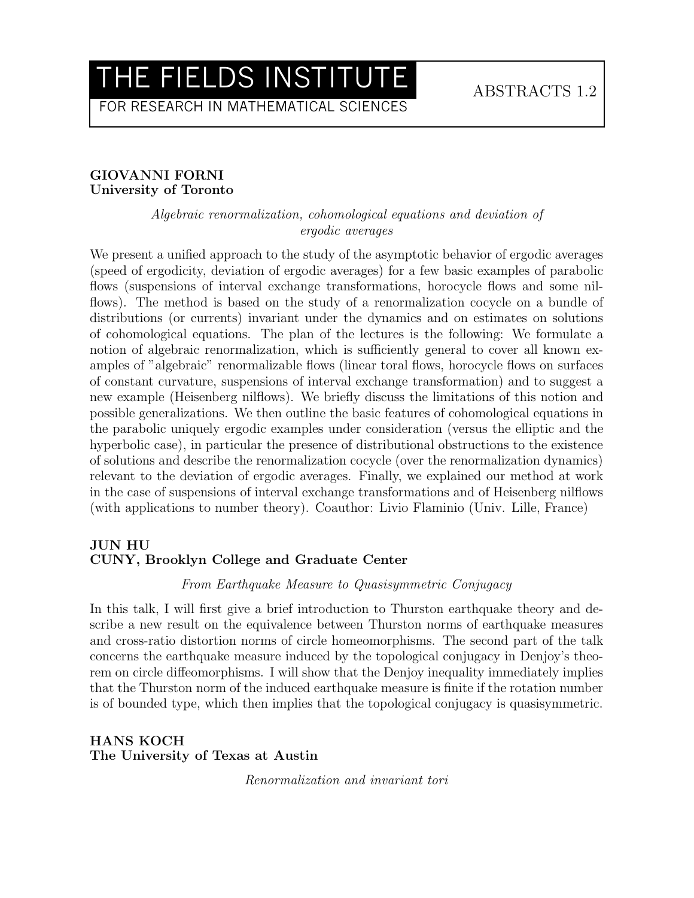FOR RESEARCH IN MATHEMATICAL SCIENCES

### GIOVANNI FORNI University of Toronto

Algebraic renormalization, cohomological equations and deviation of ergodic averages

We present a unified approach to the study of the asymptotic behavior of ergodic averages (speed of ergodicity, deviation of ergodic averages) for a few basic examples of parabolic flows (suspensions of interval exchange transformations, horocycle flows and some nilflows). The method is based on the study of a renormalization cocycle on a bundle of distributions (or currents) invariant under the dynamics and on estimates on solutions of cohomological equations. The plan of the lectures is the following: We formulate a notion of algebraic renormalization, which is sufficiently general to cover all known examples of "algebraic" renormalizable flows (linear toral flows, horocycle flows on surfaces of constant curvature, suspensions of interval exchange transformation) and to suggest a new example (Heisenberg nilflows). We briefly discuss the limitations of this notion and possible generalizations. We then outline the basic features of cohomological equations in the parabolic uniquely ergodic examples under consideration (versus the elliptic and the hyperbolic case), in particular the presence of distributional obstructions to the existence of solutions and describe the renormalization cocycle (over the renormalization dynamics) relevant to the deviation of ergodic averages. Finally, we explained our method at work in the case of suspensions of interval exchange transformations and of Heisenberg nilflows (with applications to number theory). Coauthor: Livio Flaminio (Univ. Lille, France)

## JUN HU CUNY, Brooklyn College and Graduate Center

#### From Earthquake Measure to Quasisymmetric Conjugacy

In this talk, I will first give a brief introduction to Thurston earthquake theory and describe a new result on the equivalence between Thurston norms of earthquake measures and cross-ratio distortion norms of circle homeomorphisms. The second part of the talk concerns the earthquake measure induced by the topological conjugacy in Denjoy's theorem on circle diffeomorphisms. I will show that the Denjoy inequality immediately implies that the Thurston norm of the induced earthquake measure is finite if the rotation number is of bounded type, which then implies that the topological conjugacy is quasisymmetric.

## HANS KOCH The University of Texas at Austin

Renormalization and invariant tori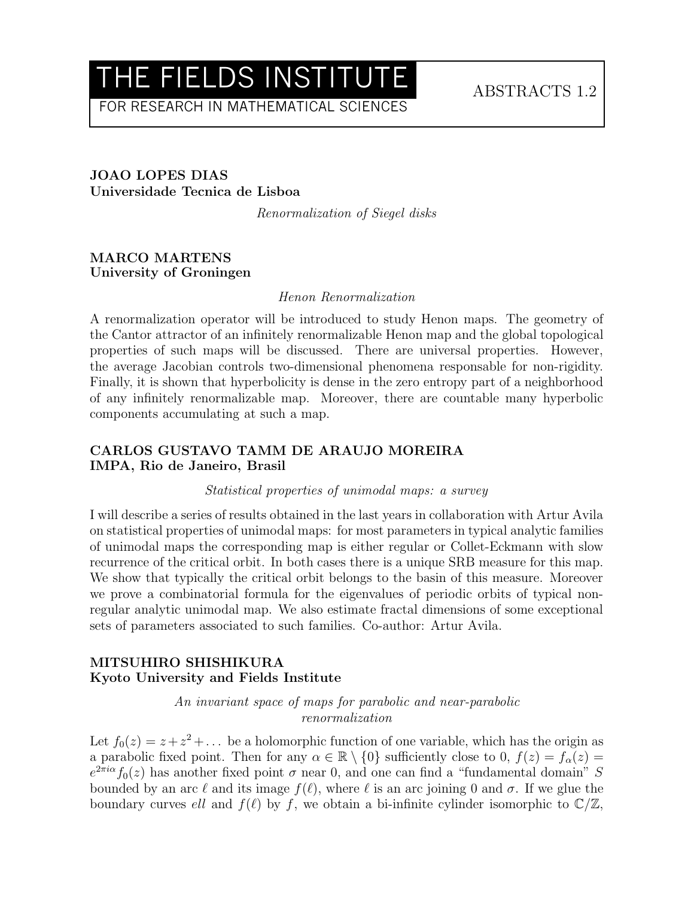FOR RESEARCH IN MATHEMATICAL SCIENCES

## JOAO LOPES DIAS Universidade Tecnica de Lisboa

Renormalization of Siegel disks

#### MARCO MARTENS University of Groningen

#### Henon Renormalization

A renormalization operator will be introduced to study Henon maps. The geometry of the Cantor attractor of an infinitely renormalizable Henon map and the global topological properties of such maps will be discussed. There are universal properties. However, the average Jacobian controls two-dimensional phenomena responsable for non-rigidity. Finally, it is shown that hyperbolicity is dense in the zero entropy part of a neighborhood of any infinitely renormalizable map. Moreover, there are countable many hyperbolic components accumulating at such a map.

### CARLOS GUSTAVO TAMM DE ARAUJO MOREIRA IMPA, Rio de Janeiro, Brasil

#### Statistical properties of unimodal maps: a survey

I will describe a series of results obtained in the last years in collaboration with Artur Avila on statistical properties of unimodal maps: for most parameters in typical analytic families of unimodal maps the corresponding map is either regular or Collet-Eckmann with slow recurrence of the critical orbit. In both cases there is a unique SRB measure for this map. We show that typically the critical orbit belongs to the basin of this measure. Moreover we prove a combinatorial formula for the eigenvalues of periodic orbits of typical nonregular analytic unimodal map. We also estimate fractal dimensions of some exceptional sets of parameters associated to such families. Co-author: Artur Avila.

#### MITSUHIRO SHISHIKURA Kyoto University and Fields Institute

An invariant space of maps for parabolic and near-parabolic renormalization

Let  $f_0(z) = z + z^2 + ...$  be a holomorphic function of one variable, which has the origin as a parabolic fixed point. Then for any  $\alpha \in \mathbb{R} \setminus \{0\}$  sufficiently close to 0,  $f(z) = f_{\alpha}(z)$  $e^{2\pi i\alpha}f_0(z)$  has another fixed point  $\sigma$  near 0, and one can find a "fundamental domain" S bounded by an arc  $\ell$  and its image  $f(\ell)$ , where  $\ell$  is an arc joining 0 and  $\sigma$ . If we glue the boundary curves ell and  $f(\ell)$  by f, we obtain a bi-infinite cylinder isomorphic to  $\mathbb{C}/\mathbb{Z}$ ,